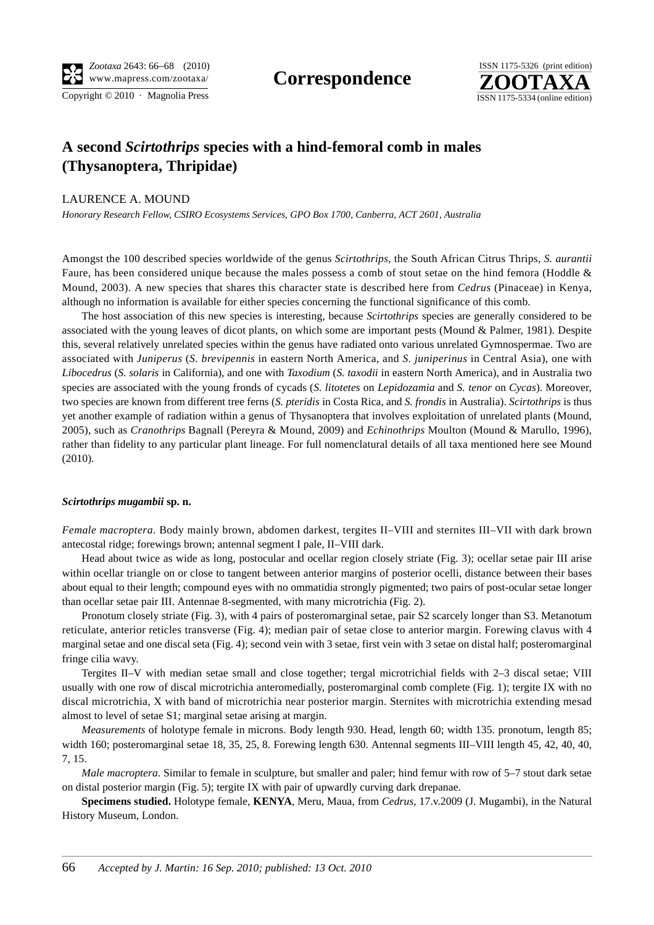

# **A second** *Scirtothrips* **species with a hind-femoral comb in males (Thysanoptera, Thripidae)**

## LAURENCE A. MOUND

*Honorary Research Fellow, CSIRO Ecosystems Services, GPO Box 1700, Canberra, ACT 2601, Australia*

Amongst the 100 described species worldwide of the genus *Scirtothrips*, the South African Citrus Thrips, *S. aurantii* Faure, has been considered unique because the males possess a comb of stout setae on the hind femora (Hoddle & Mound, 2003). A new species that shares this character state is described here from *Cedrus* (Pinaceae) in Kenya, although no information is available for either species concerning the functional significance of this comb.

The host association of this new species is interesting, because *Scirtothrips* species are generally considered to be associated with the young leaves of dicot plants, on which some are important pests (Mound & Palmer, 1981). Despite this, several relatively unrelated species within the genus have radiated onto various unrelated Gymnospermae. Two are associated with *Juniperus* (*S. brevipennis* in eastern North America, and *S. juniperinus* in Central Asia), one with *Libocedrus* (*S. solaris* in California), and one with *Taxodium* (*S. taxodii* in eastern North America), and in Australia two species are associated with the young fronds of cycads (*S. litotetes* on *Lepidozamia* and *S. tenor* on *Cycas*). Moreover, two species are known from different tree ferns (*S. pteridis* in Costa Rica, and *S. frondis* in Australia). *Scirtothrips* is thus yet another example of radiation within a genus of Thysanoptera that involves exploitation of unrelated plants (Mound, 2005), such as *Cranothrips* Bagnall (Pereyra & Mound, 2009) and *Echinothrips* Moulton (Mound & Marullo, 1996), rather than fidelity to any particular plant lineage. For full nomenclatural details of all taxa mentioned here see Mound (2010).

## *Scirtothrips mugambii* **sp. n.**

*Female macroptera*. Body mainly brown, abdomen darkest, tergites II–VIII and sternites III–VII with dark brown antecostal ridge; forewings brown; antennal segment I pale, II–VIII dark.

Head about twice as wide as long, postocular and ocellar region closely striate (Fig. 3); ocellar setae pair III arise within ocellar triangle on or close to tangent between anterior margins of posterior ocelli, distance between their bases about equal to their length; compound eyes with no ommatidia strongly pigmented; two pairs of post-ocular setae longer than ocellar setae pair III. Antennae 8-segmented, with many microtrichia (Fig. 2).

Pronotum closely striate (Fig. 3), with 4 pairs of posteromarginal setae, pair S2 scarcely longer than S3. Metanotum reticulate, anterior reticles transverse (Fig. 4); median pair of setae close to anterior margin. Forewing clavus with 4 marginal setae and one discal seta (Fig. 4); second vein with 3 setae, first vein with 3 setae on distal half; posteromarginal fringe cilia wavy.

Tergites II–V with median setae small and close together; tergal microtrichial fields with 2–3 discal setae; VIII usually with one row of discal microtrichia anteromedially, posteromarginal comb complete (Fig. 1); tergite IX with no discal microtrichia, X with band of microtrichia near posterior margin. Sternites with microtrichia extending mesad almost to level of setae S1; marginal setae arising at margin.

*Measurements* of holotype female in microns. Body length 930. Head, length 60; width 135. pronotum, length 85; width 160; posteromarginal setae 18, 35, 25, 8. Forewing length 630. Antennal segments III–VIII length 45, 42, 40, 40, 7, 15.

*Male macroptera*. Similar to female in sculpture, but smaller and paler; hind femur with row of 5–7 stout dark setae on distal posterior margin (Fig. 5); tergite IX with pair of upwardly curving dark drepanae.

**Specimens studied.** Holotype female, **KENYA**, Meru, Maua, from *Cedrus*, 17.v.2009 (J. Mugambi), in the Natural History Museum, London.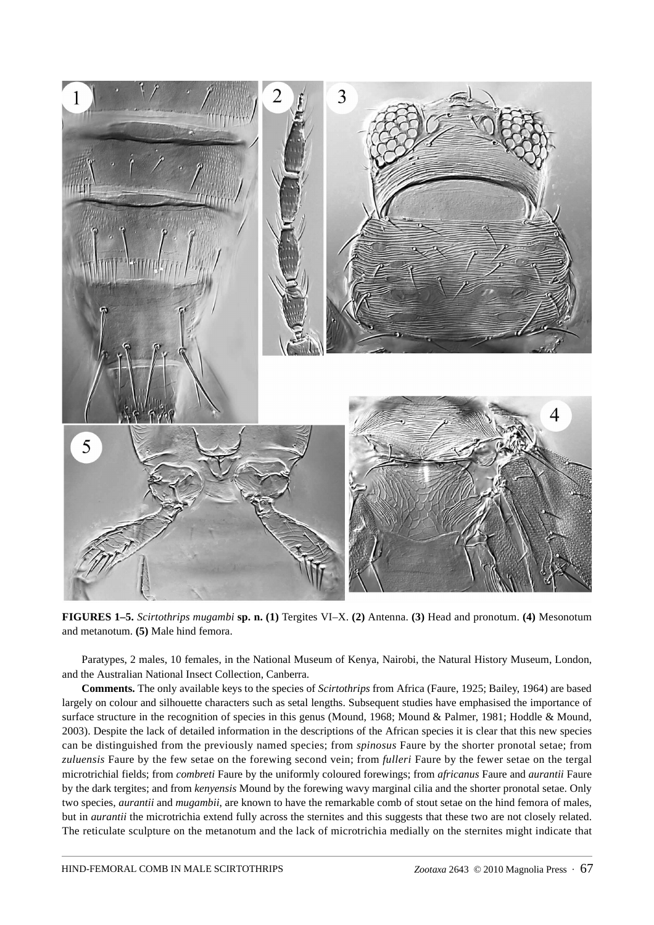

**FIGURES 1–5.** *Scirtothrips mugambi* **sp. n. (1)** Tergites VI–X. **(2)** Antenna. **(3)** Head and pronotum. **(4)** Mesonotum and metanotum. **(5)** Male hind femora.

Paratypes, 2 males, 10 females, in the National Museum of Kenya, Nairobi, the Natural History Museum, London, and the Australian National Insect Collection, Canberra.

**Comments.** The only available keys to the species of *Scirtothrips* from Africa (Faure, 1925; Bailey, 1964) are based largely on colour and silhouette characters such as setal lengths. Subsequent studies have emphasised the importance of surface structure in the recognition of species in this genus (Mound, 1968; Mound & Palmer, 1981; Hoddle & Mound, 2003). Despite the lack of detailed information in the descriptions of the African species it is clear that this new species can be distinguished from the previously named species; from *spinosus* Faure by the shorter pronotal setae; from *zuluensis* Faure by the few setae on the forewing second vein; from *fulleri* Faure by the fewer setae on the tergal microtrichial fields; from *combreti* Faure by the uniformly coloured forewings; from *africanus* Faure and *aurantii* Faure by the dark tergites; and from *kenyensis* Mound by the forewing wavy marginal cilia and the shorter pronotal setae. Only two species, *aurantii* and *mugambii*, are known to have the remarkable comb of stout setae on the hind femora of males, but in *aurantii* the microtrichia extend fully across the sternites and this suggests that these two are not closely related. The reticulate sculpture on the metanotum and the lack of microtrichia medially on the sternites might indicate that